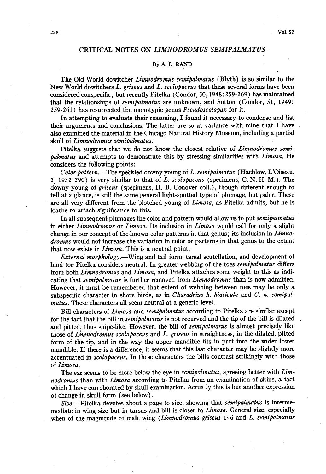# CRITICAL NOTES ON *LIMNODROMUS SEMIPALMATUS*

## **By A. L. RAND**

**The Old World dowitcher Limnodromus semipalmatus (Blyth) is so similar to the**  New World dowitchers L. griseus and L. scolopaceus that these several forms have been **consideredconspecific; but recently Pitelka (Condor, 50,1948:259-269) has maintained that the relationships of semipalmatus are unknown, and Sutton (Condor, 51, 1949: 259-261) has resurrected the monotypic genus Pseudoscolopax for it.** 

**In attempting to evaluate their reasoning, I found it necessary to condense and list their arguments and conclusions. The latter are so at variance with mine that I have also examined the material in the Chicago Natural History Museum, including a partial skull of Limnodromus semipalmatus.** 

**Pitelka suggests that we do not know the closest relative of Limnodromus semipalmatus and attempts to demonstrate this by stressing similarities with Limosa. He considers the following points:** 

**Color pattern.-The speckled downy young of L. semipalmatus (Hachlow, L'Oiseau, 2, 1932:290) is very similar to that of L. scolopaceus (specimens, C. N. H. M.). The**  downy young of griseus (specimens, H. B. Conover coll.), though different enough to **tell at a glance, is still the same general light-spotted type of plumage, but paler. These are all very different from the blotched young of Limosa, as Pitelka admits, but he is loathe to attach significance to this.** 

**In all subsequent plumages the color and pattern would allow us to put semipalmatus in either Limnodromus or Limosa. Its inclusion in Limosa would call for only a slight change in our concept of the known color patterns in that genus; its inclusion in Limnodromus would not increase the variation in color or patterns in that genus to the extent that now exists in Limosa. This is a neutral point.** 

**External morphology.**—Wing and tail form, tarsal scutellation, and development of **hind toe Pitelka considers neutral. In greater webbing of the toes semipalmatus differs from both Limnodromus and Limosa, and Pitelka attaches some weight to this as indicating that semipalmatus is further removed from Limnodromus than is now admitted. However, it must be remembered that extent of webbing between toes may be only a subspecific character in shore birds, as in Charadrius h. hiaticula and C. h. semipalmatus. These characters all seem neutral at a generic level.** 

**Bill characters of Limosa and semipalmatus according to Pitelka are similar except**  for the fact that the bill in *semipalmatus* is not recurved and the tip of the bill is dilated and pitted, thus snipe-like. However, the bill of *semipalmatus* is almost precisely like **those of Limnodromus scolopaceus and L. griseus in straightness, in the dilated, pitted form of the tip, and in the way the upper mandible fits in part into the wider lower mandible. If there is a difference, it seems that this last character may be slightly more accentuated in scolopaceus. In these characters the bills contrast strikingly with those of Limasa.** 

**The ear seems to be more below the eye in semipalmatus, agreeing better with Limnodromus than with Limosa according to Pitelka from an examination of skins, a fact which I have corroborated by skull examination. Actually this is but another expression of change in skull form (see below).** 

**Size.-Pitelka devotes about a page to size, showing that semipdmatus is intermemediate in wing size but in tarsus and bill is closer to Limosa. General size, especially when of the magnitude of male wing (Limnodromus griseus 146 and L. semipalmatus**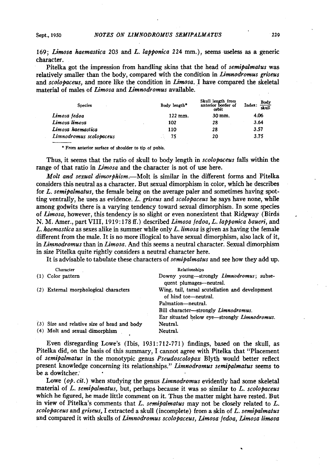**169; Limosa haemastica 203 and L. lapponica 224 mm.), seems useless as a generic character.** 

**Pitelka got the impression from handling skins that the head of semipalmatus was relatively smaller than the body, compared with the condition in Limnodromus griseus**  and scolopaceus, and more like the condition in *Limosa*. I have compared the skeletal **material of males of Limosa and Limnodromus available.** 

| <b>Species</b>          | Body length* | Skull length from<br>anterior border of<br>orbit | Index: $\frac{\text{Body}}{\text{skull}}$ |
|-------------------------|--------------|--------------------------------------------------|-------------------------------------------|
| Limosa fedoa            | 122 mm.      | 30 mm.                                           | 4.06                                      |
| Limosa limosa           | 102          | 28                                               | 3.64                                      |
| Limosa haemastica       | 110          | 28                                               | 3.57                                      |
| Limnodromus scolopaceus | 75           | 20                                               | 3.75                                      |

**<sup>l</sup>From anterior surface of shoulder to tip of pubis.** 

Thus, it seems that the ratio of skull to body length in *scolopaceus* falls within the **range of that ratio in Limosa and the character is not of use here.** 

**Molt and sexual dimorphism.-Molt is similar in the different forms and Pitelka considers this neutral as a character. But sexual dimorphism in color, which he describes for L. semipalmatus, the female being on the average paler and sometimes having spotting ventrally, he uses as evidence. L. griseus and scolopaceus he says have none, while among godwits there is a varying tendency toward sexual dimorphism. In some species of Limosa, however, this tendency is so slight or even nonexistent that Ridgway (Birds N. M. Amer., part VIII, 1919: 178 ff.) described Limosa fedoa, L. lapponica baueri, and L. haemastica as sexes alike in summer while only L. limosa is given as having the female different from the male. It is no more illogical to have sexual dimorphism, also lack of it,**  in Limnodromus than in Limosa. And this seems a neutral character. Sexual dimorphism **in size Pitelka quite rightly considers a neutral character here.** 

**It is advisable to tabulate these characters of semipalmatus and see how they add up.** 

|  | Character                                   | Relationships                                                                            |
|--|---------------------------------------------|------------------------------------------------------------------------------------------|
|  | (1) Color pattern                           | Downy young-strongly <i>Limnodromus</i> ; subse-<br>quent plumages—neutral.              |
|  | (2) External morphological characters       | Wing, tail, tarsal scutellation and development<br>of hind toe-neutral.                  |
|  |                                             | Palmation—neutral.                                                                       |
|  |                                             | Bill character—strongly <i>Limnodromus</i> .                                             |
|  |                                             | Ear situated below eye—strongly Limnodromus.                                             |
|  | (3) Size and relative size of head and body | Neutral.                                                                                 |
|  | (4) Molt and sexual dimorphism              | Neutral.                                                                                 |
|  |                                             | $\Gamma$ rian dianographica I arra)n (Ibin 1021,719.771) Cudings, bosad na tha sheill na |

**Even disregarding Lowe's (Ibis, 193 1: 7 12-771) findings, based on the skull, as Pitelka did, on the basis of this summary, I cannot agree with Pitelka that "Placement of semipalmatus in the monotypic genus Pseudoscolopax Blyth would better reflect present knowledge concerning its relationships." Limnodromus semipalmatus seems to**  be a dowitcher.

Lowe (op. cit.) when studying the genus *Limnodromus* evidently had some skeletal **material of L. semipalmatus, but, perhaps because it was so similar to L. scolopaceus which he figured, he made little comment on it. Thus the matter might have rested. But in view of Pitelka's comments that L. semipalmatus may not be closely related to L. scolopaceus and griseus, I extracted a skull (incomplete) from a skin of L. semipalmatus**  and compared it with skulls of *Limnodromus scolopaceus, Limosa fedoa, Limosa limosa*  **,**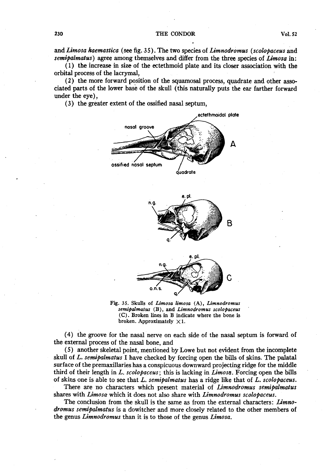**and Limosa kaemastica (see fig. 3 5 ) . The two species of Limnodromus (scolopaceus and**  semipalmatus) agree among themselves and differ from the three species of *Limosa* in:

**(1) the increase in size of the ectethmoid plate and its closer association with the orbital process of the lacrymal,** 

**(2) the more forward position of the squamosal process, quadrate and other associated parts of the lower base of the skull (this naturally puts the ear farther forward under the eye),** 

**(3) the greater extent of the ossified nasal septum,** 





Fig. 35. Skulls of *Limosa limosa* (A), *Limnodromus* semipalmatus (B), and *Limnodromus scolopaceus* **(0. Broken lines in B indicate where the bone is**  broken. Approximately  $\times 1$ .

**(4) the groove for the nasal nerve on each side of the nasal septum is forward of the external process of the nasal bone, and** 

**(5) another skeletal point, mentioned by Lowe but not evident from the incomplete**  skull of L. semipalmatus I have checked by forcing open the bills of skins. The palatal **surface of the premaxillaries has a conspicuous downward projecting ridge for the middle third of their length in L.. scolopaceus; this is lacking in Limosa. Forcing open the bills of skins one is able to see that L. semipalmatus has a ridge like that of L. scolopaceus.** 

**There are no characters which present material of Limnodromus semipahnatus shares with Limosa which it does not also share with Limnodromus scolopaceus.** 

**The conclusion from the skull is the same as from the external characters: Limnodromus semipalmatus is a dowitcher and more closely related to the other members of the genus Limnodromus than it is to those of the genus Limosa.**